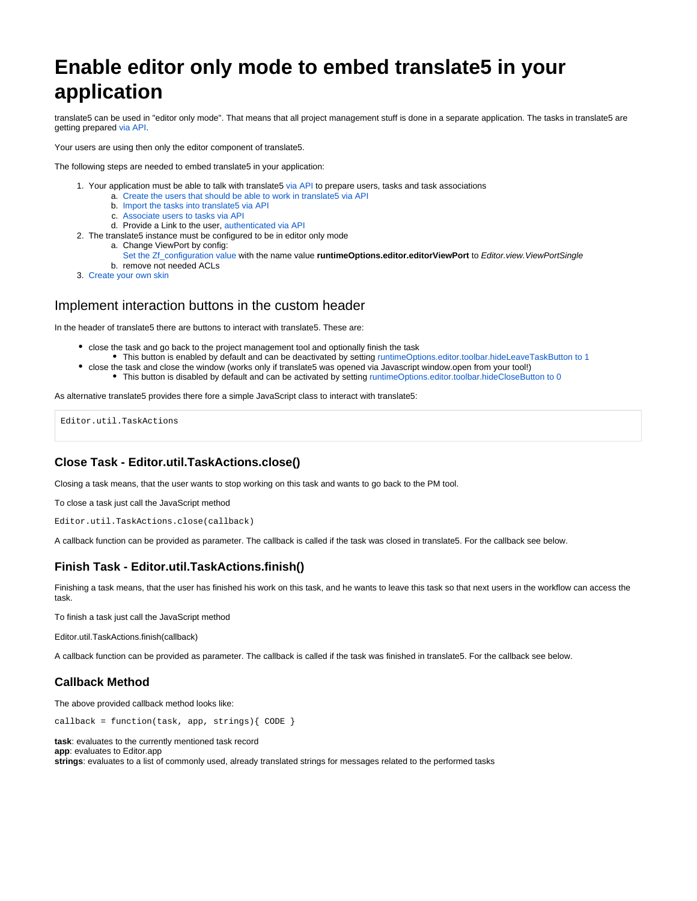# **Enable editor only mode to embed translate5 in your application**

translate5 can be used in "editor only mode". That means that all project management stuff is done in a separate application. The tasks in translate5 are getting prepared [via API](https://confluence.translate5.net/display/TAD/REST+API).

Your users are using then only the editor component of translate5.

The following steps are needed to embed translate5 in your application:

- 1. Your application must be able to talk with translate5 [via API](https://confluence.translate5.net/display/TAD/REST+API) to prepare users, tasks and task associations
	- a. [Create the users that should be able to work in translate5 via API](https://confluence.translate5.net/display/TAD/User)
		- b. [Import the tasks into translate5 via API](https://confluence.translate5.net/display/TAD/Task)
		- c. [Associate users to tasks via API](https://confluence.translate5.net/display/TAD/Task+User+Associations)
- d. Provide a Link to the user, [authenticated via API](https://confluence.translate5.net/display/TAD/Session)
- 2. The translate5 instance must be configured to be in editor only mode
	- a. Change ViewPort by config:
	- b. remove not needed ACLs [Set the Zf\\_configuration value w](https://confluence.translate5.net/display/CON/Database+based+configuration)ith the name value **runtimeOptions.editor.editorViewPort** to Editor.view.ViewPortSingle
- 3. [Create your own skin](https://confluence.translate5.net/pages/viewpage.action?pageId=3866712)

## Implement interaction buttons in the custom header

In the header of translate5 there are buttons to interact with translate5. These are:

- close the task and go back to the project management tool and optionally finish the task
- This button is enabled by default and can be deactivated by setting [runtimeOptions.editor.toolbar.hideLeaveTaskButton to 1](https://confluence.translate5.net/pages/viewpage.action?pageId=186974218) close the task and close the window (works only if translate5 was opened via Javascript window.open from your tool!)
	- This button is disabled by default and can be activated by setting [runtimeOptions.editor.toolbar.hideCloseButton to 0](https://confluence.translate5.net/pages/viewpage.action?pageId=186974218)

As alternative translate5 provides there fore a simple JavaScript class to interact with translate5:

Editor.util.TaskActions

## **Close Task - Editor.util.TaskActions.close()**

Closing a task means, that the user wants to stop working on this task and wants to go back to the PM tool.

To close a task just call the JavaScript method

```
Editor.util.TaskActions.close(callback)
```
A callback function can be provided as parameter. The callback is called if the task was closed in translate5. For the callback see below.

## **Finish Task - Editor.util.TaskActions.finish()**

Finishing a task means, that the user has finished his work on this task, and he wants to leave this task so that next users in the workflow can access the task.

To finish a task just call the JavaScript method

Editor.util.TaskActions.finish(callback)

A callback function can be provided as parameter. The callback is called if the task was finished in translate5. For the callback see below.

#### **Callback Method**

The above provided callback method looks like:

callback = function(task, app, strings){ CODE }

**task**: evaluates to the currently mentioned task record **app**: evaluates to Editor.app **strings**: evaluates to a list of commonly used, already translated strings for messages related to the performed tasks